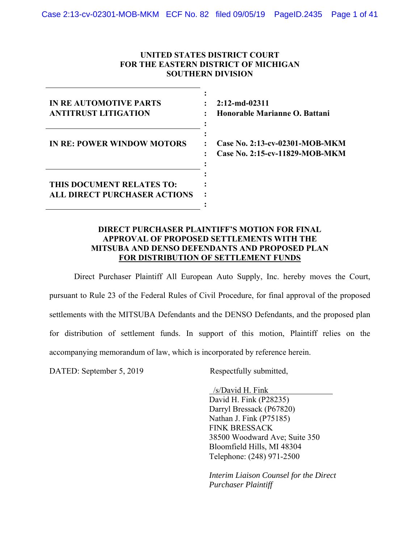## **UNITED STATES DISTRICT COURT FOR THE EASTERN DISTRICT OF MICHIGAN SOUTHERN DIVISION**

| <b>IN REAUTOMOTIVE PARTS</b><br><b>ANTITRUST LITIGATION</b>      | $2:12$ -md-02311<br>Honorable Marianne O. Battani                     |
|------------------------------------------------------------------|-----------------------------------------------------------------------|
| <b>IN RE: POWER WINDOW MOTORS</b>                                | Case No. 2:13-cv-02301-MOB-MKM<br>÷<br>Case No. 2:15-cv-11829-MOB-MKM |
| THIS DOCUMENT RELATES TO:<br><b>ALL DIRECT PURCHASER ACTIONS</b> |                                                                       |

## **DIRECT PURCHASER PLAINTIFF'S MOTION FOR FINAL APPROVAL OF PROPOSED SETTLEMENTS WITH THE MITSUBA AND DENSO DEFENDANTS AND PROPOSED PLAN FOR DISTRIBUTION OF SETTLEMENT FUNDS**

Direct Purchaser Plaintiff All European Auto Supply, Inc. hereby moves the Court, pursuant to Rule 23 of the Federal Rules of Civil Procedure, for final approval of the proposed settlements with the MITSUBA Defendants and the DENSO Defendants, and the proposed plan for distribution of settlement funds. In support of this motion, Plaintiff relies on the accompanying memorandum of law, which is incorporated by reference herein.

DATED: September 5, 2019 Respectfully submitted,

 /s/David H. Fink David H. Fink (P28235) Darryl Bressack (P67820) Nathan J. Fink (P75185) FINK BRESSACK 38500 Woodward Ave; Suite 350 Bloomfield Hills, MI 48304 Telephone: (248) 971-2500

*Interim Liaison Counsel for the Direct Purchaser Plaintiff*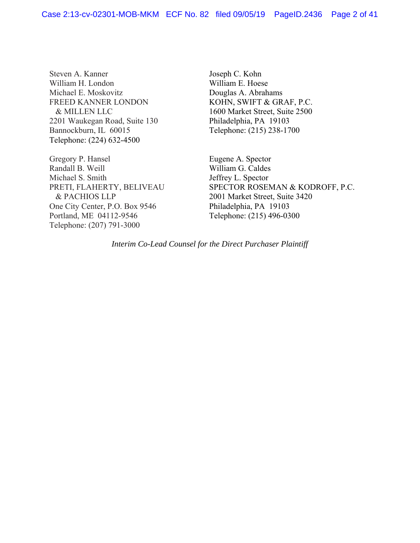Steven A. Kanner William H. London Michael E. Moskovitz FREED KANNER LONDON & MILLEN LLC 2201 Waukegan Road, Suite 130 Bannockburn, IL 60015 Telephone: (224) 632-4500

Gregory P. Hansel Randall B. Weill Michael S. Smith PRETI, FLAHERTY, BELIVEAU & PACHIOS LLP One City Center, P.O. Box 9546 Portland, ME 04112-9546 Telephone: (207) 791-3000

Joseph C. Kohn William E. Hoese Douglas A. Abrahams KOHN, SWIFT & GRAF, P.C. 1600 Market Street, Suite 2500 Philadelphia, PA 19103 Telephone: (215) 238-1700

Eugene A. Spector William G. Caldes Jeffrey L. Spector SPECTOR ROSEMAN & KODROFF, P.C. 2001 Market Street, Suite 3420 Philadelphia, PA 19103 Telephone: (215) 496-0300

*Interim Co-Lead Counsel for the Direct Purchaser Plaintiff*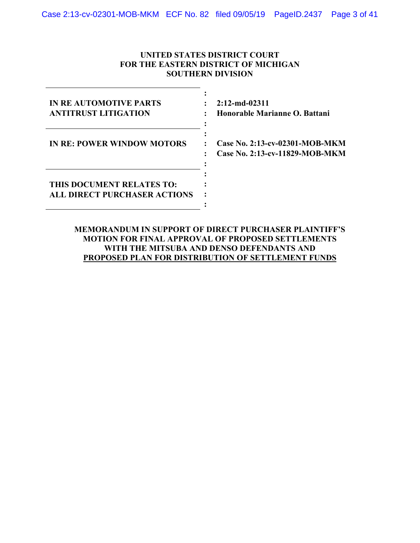## **UNITED STATES DISTRICT COURT FOR THE EASTERN DISTRICT OF MICHIGAN SOUTHERN DIVISION**

| <b>IN REAUTOMOTIVE PARTS</b><br><b>ANTITRUST LITIGATION</b>      | $2:12$ -md-02311<br>Honorable Marianne O. Battani                     |
|------------------------------------------------------------------|-----------------------------------------------------------------------|
| <b>IN RE: POWER WINDOW MOTORS</b>                                | Case No. 2:13-cv-02301-MOB-MKM<br>÷<br>Case No. 2:13-cv-11829-MOB-MKM |
| THIS DOCUMENT RELATES TO:<br><b>ALL DIRECT PURCHASER ACTIONS</b> |                                                                       |

**MEMORANDUM IN SUPPORT OF DIRECT PURCHASER PLAINTIFF'S MOTION FOR FINAL APPROVAL OF PROPOSED SETTLEMENTS WITH THE MITSUBA AND DENSO DEFENDANTS AND PROPOSED PLAN FOR DISTRIBUTION OF SETTLEMENT FUNDS**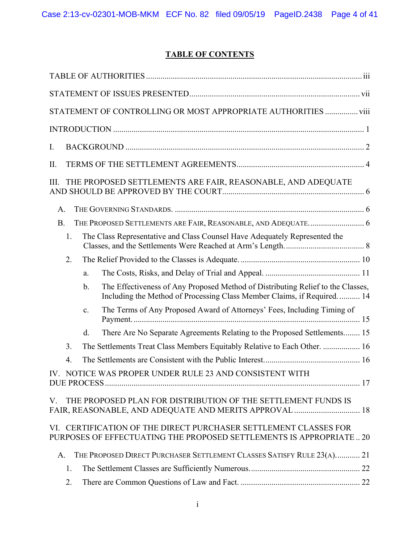# **TABLE OF CONTENTS**

|           |    |               | STATEMENT OF CONTROLLING OR MOST APPROPRIATE AUTHORITIES  viii                                                                                              |
|-----------|----|---------------|-------------------------------------------------------------------------------------------------------------------------------------------------------------|
|           |    |               |                                                                                                                                                             |
| Ι.        |    |               |                                                                                                                                                             |
| Π.        |    |               |                                                                                                                                                             |
| Ш.        |    |               | THE PROPOSED SETTLEMENTS ARE FAIR, REASONABLE, AND ADEQUATE                                                                                                 |
| Α.        |    |               |                                                                                                                                                             |
| <b>B.</b> |    |               |                                                                                                                                                             |
|           | 1. |               | The Class Representative and Class Counsel Have Adequately Represented the                                                                                  |
|           | 2. |               |                                                                                                                                                             |
|           |    | a.            |                                                                                                                                                             |
|           |    | $\mathbf b$ . | The Effectiveness of Any Proposed Method of Distributing Relief to the Classes,<br>Including the Method of Processing Class Member Claims, if Required.  14 |
|           |    | c.            | The Terms of Any Proposed Award of Attorneys' Fees, Including Timing of                                                                                     |
|           |    | d.            | There Are No Separate Agreements Relating to the Proposed Settlements 15                                                                                    |
|           | 3. |               | The Settlements Treat Class Members Equitably Relative to Each Other.  16                                                                                   |
|           | 4. |               |                                                                                                                                                             |
|           |    |               | IV. NOTICE WAS PROPER UNDER RULE 23 AND CONSISTENT WITH                                                                                                     |
| V.        |    |               | THE PROPOSED PLAN FOR DISTRIBUTION OF THE SETTLEMENT FUNDS IS<br>FAIR, REASONABLE, AND ADEQUATE AND MERITS APPROVAL  18                                     |
|           |    |               | VI. CERTIFICATION OF THE DIRECT PURCHASER SETTLEMENT CLASSES FOR<br>PURPOSES OF EFFECTUATING THE PROPOSED SETTLEMENTS IS APPROPRIATE 20                     |
| A.        |    |               | THE PROPOSED DIRECT PURCHASER SETTLEMENT CLASSES SATISFY RULE 23(A) 21                                                                                      |
|           | 1. |               |                                                                                                                                                             |
|           | 2. |               |                                                                                                                                                             |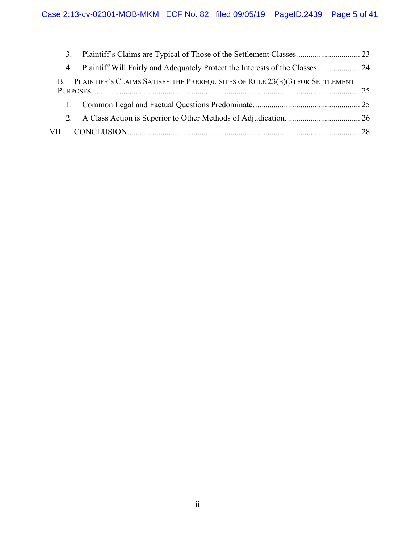| 4. Plaintiff Will Fairly and Adequately Protect the Interests of the Classes 24 |  |
|---------------------------------------------------------------------------------|--|
| B. PLAINTIFF'S CLAIMS SATISFY THE PREREQUISITES OF RULE 23(B)(3) FOR SETTLEMENT |  |
|                                                                                 |  |
|                                                                                 |  |
|                                                                                 |  |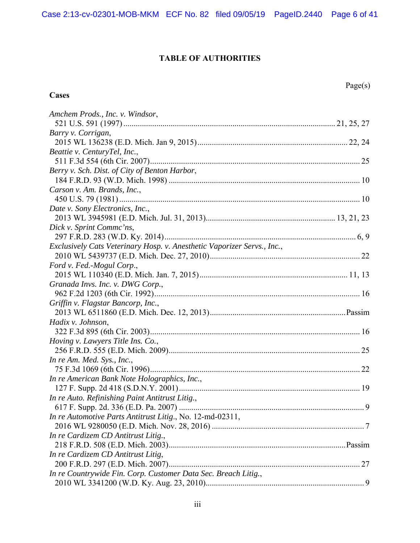# **TABLE OF AUTHORITIES**

# **Cases**

| Amchem Prods., Inc. v. Windsor,                                         |  |
|-------------------------------------------------------------------------|--|
|                                                                         |  |
| Barry v. Corrigan,                                                      |  |
|                                                                         |  |
| Beattie v. CenturyTel, Inc.,                                            |  |
|                                                                         |  |
| Berry v. Sch. Dist. of City of Benton Harbor,                           |  |
|                                                                         |  |
| Carson v. Am. Brands, Inc.,                                             |  |
|                                                                         |  |
| Date v. Sony Electronics, Inc.,                                         |  |
|                                                                         |  |
| Dick v. Sprint Comme'ns,                                                |  |
|                                                                         |  |
| Exclusively Cats Veterinary Hosp. v. Anesthetic Vaporizer Servs., Inc., |  |
|                                                                         |  |
| Ford v. Fed.-Mogul Corp.,                                               |  |
|                                                                         |  |
| Granada Invs. Inc. v. DWG Corp.,                                        |  |
|                                                                         |  |
| Griffin v. Flagstar Bancorp, Inc.,                                      |  |
|                                                                         |  |
| Hadix v. Johnson,                                                       |  |
|                                                                         |  |
| Hoving v. Lawyers Title Ins. Co.,                                       |  |
|                                                                         |  |
| In re Am. Med. Sys., Inc.,                                              |  |
|                                                                         |  |
| In re American Bank Note Holographics, Inc.,                            |  |
|                                                                         |  |
| In re Auto. Refinishing Paint Antitrust Litig.,                         |  |
|                                                                         |  |
| In re Automotive Parts Antitrust Litig., No. 12-md-02311,               |  |
|                                                                         |  |
| In re Cardizem CD Antitrust Litig.,                                     |  |
|                                                                         |  |
| In re Cardizem CD Antitrust Litig,                                      |  |
|                                                                         |  |
| In re Countrywide Fin. Corp. Customer Data Sec. Breach Litig.,          |  |
|                                                                         |  |
|                                                                         |  |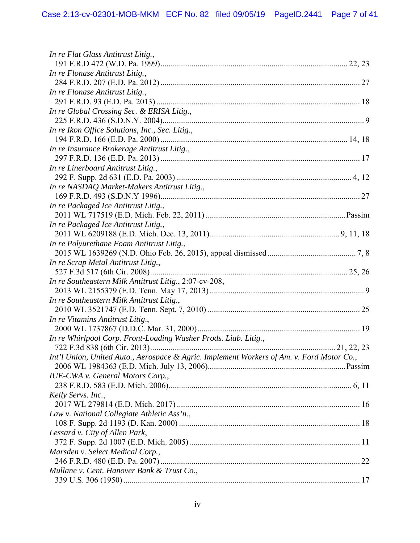| In re Flat Glass Antitrust Litig.,                                                        |  |
|-------------------------------------------------------------------------------------------|--|
|                                                                                           |  |
| In re Flonase Antitrust Litig.,                                                           |  |
|                                                                                           |  |
| In re Flonase Antitrust Litig.,                                                           |  |
|                                                                                           |  |
| In re Global Crossing Sec. & ERISA Litig.,                                                |  |
|                                                                                           |  |
| In re Ikon Office Solutions, Inc., Sec. Litig.,                                           |  |
|                                                                                           |  |
| In re Insurance Brokerage Antitrust Litig.,                                               |  |
|                                                                                           |  |
| In re Linerboard Antitrust Litig.,                                                        |  |
|                                                                                           |  |
| In re NASDAQ Market-Makers Antitrust Litig.,                                              |  |
|                                                                                           |  |
| In re Packaged Ice Antitrust Litig.,                                                      |  |
|                                                                                           |  |
| In re Packaged Ice Antitrust Litig.,                                                      |  |
|                                                                                           |  |
| In re Polyurethane Foam Antitrust Litig.,                                                 |  |
|                                                                                           |  |
| In re Scrap Metal Antitrust Litig.,                                                       |  |
|                                                                                           |  |
| In re Southeastern Milk Antitrust Litig., 2:07-cv-208,                                    |  |
|                                                                                           |  |
| In re Southeastern Milk Antitrust Litig.,                                                 |  |
|                                                                                           |  |
| In re Vitamins Antitrust Litig.,                                                          |  |
|                                                                                           |  |
| In re Whirlpool Corp. Front-Loading Washer Prods. Liab. Litig.,                           |  |
|                                                                                           |  |
| Int'l Union, United Auto., Aerospace & Agric. Implement Workers of Am. v. Ford Motor Co., |  |
|                                                                                           |  |
| <b>IUE-CWA</b> v. General Motors Corp.,                                                   |  |
|                                                                                           |  |
| Kelly Servs. Inc.,                                                                        |  |
|                                                                                           |  |
| Law v. National Collegiate Athletic Ass'n.,                                               |  |
|                                                                                           |  |
| Lessard v. City of Allen Park,                                                            |  |
|                                                                                           |  |
| Marsden v. Select Medical Corp.,                                                          |  |
|                                                                                           |  |
| Mullane v. Cent. Hanover Bank & Trust Co.,                                                |  |
|                                                                                           |  |
|                                                                                           |  |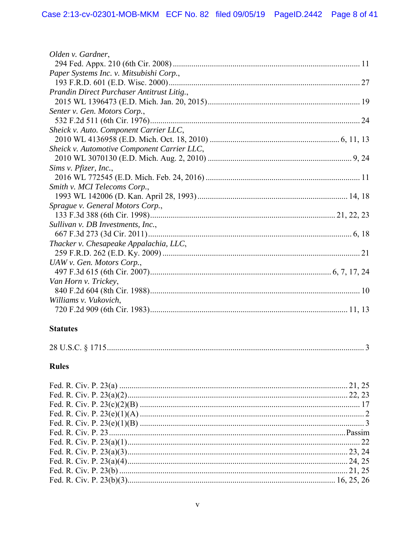| Olden v. Gardner,                           |
|---------------------------------------------|
|                                             |
| Paper Systems Inc. v. Mitsubishi Corp.,     |
|                                             |
| Prandin Direct Purchaser Antitrust Litig.,  |
|                                             |
| Senter v. Gen. Motors Corp.,                |
|                                             |
| Sheick v. Auto. Component Carrier LLC,      |
|                                             |
| Sheick v. Automotive Component Carrier LLC, |
|                                             |
| Sims v. Pfizer, Inc.,                       |
|                                             |
| Smith v. MCI Telecoms Corp.,                |
|                                             |
| Sprague v. General Motors Corp.,            |
|                                             |
| Sullivan v. DB Investments, Inc.,           |
|                                             |
| Thacker v. Chesapeake Appalachia, LLC,      |
|                                             |
| UAW v. Gen. Motors Corp.,                   |
|                                             |
| Van Horn v. Trickey,                        |
|                                             |
| Williams v. Vukovich,                       |
|                                             |
|                                             |

# **Statutes**

# **Rules**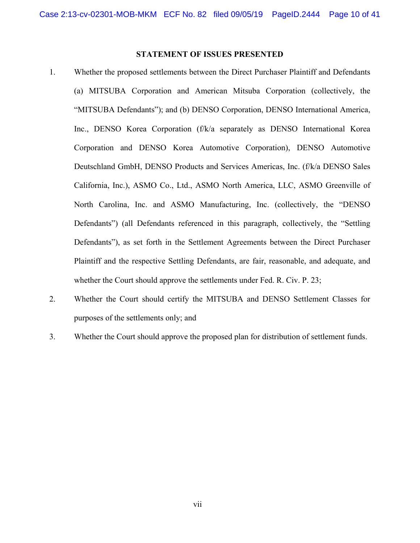## **STATEMENT OF ISSUES PRESENTED**

- 1. Whether the proposed settlements between the Direct Purchaser Plaintiff and Defendants (a) MITSUBA Corporation and American Mitsuba Corporation (collectively, the "MITSUBA Defendants"); and (b) DENSO Corporation, DENSO International America, Inc., DENSO Korea Corporation (f/k/a separately as DENSO International Korea Corporation and DENSO Korea Automotive Corporation), DENSO Automotive Deutschland GmbH, DENSO Products and Services Americas, Inc. (f/k/a DENSO Sales California, Inc.), ASMO Co., Ltd., ASMO North America, LLC, ASMO Greenville of North Carolina, Inc. and ASMO Manufacturing, Inc. (collectively, the "DENSO Defendants") (all Defendants referenced in this paragraph, collectively, the "Settling Defendants"), as set forth in the Settlement Agreements between the Direct Purchaser Plaintiff and the respective Settling Defendants, are fair, reasonable, and adequate, and whether the Court should approve the settlements under Fed. R. Civ. P. 23;
- 2. Whether the Court should certify the MITSUBA and DENSO Settlement Classes for purposes of the settlements only; and
- 3. Whether the Court should approve the proposed plan for distribution of settlement funds.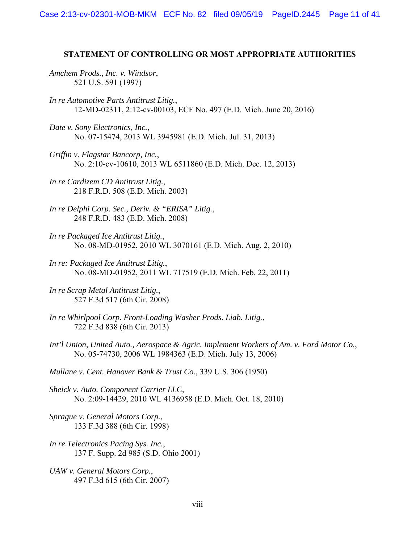#### **STATEMENT OF CONTROLLING OR MOST APPROPRIATE AUTHORITIES**

*Amchem Prods., Inc. v. Windsor*, 521 U.S. 591 (1997)

- *In re Automotive Parts Antitrust Litig.*, 12-MD-02311, 2:12-cv-00103, ECF No. 497 (E.D. Mich. June 20, 2016)
- *Date v. Sony Electronics, Inc.*, No. 07-15474, 2013 WL 3945981 (E.D. Mich. Jul. 31, 2013)
- *Griffin v. Flagstar Bancorp, Inc.*, No. 2:10-cv-10610, 2013 WL 6511860 (E.D. Mich. Dec. 12, 2013)
- *In re Cardizem CD Antitrust Litig.*, 218 F.R.D. 508 (E.D. Mich. 2003)
- *In re Delphi Corp. Sec., Deriv. & "ERISA" Litig.*, 248 F.R.D. 483 (E.D. Mich. 2008)
- *In re Packaged Ice Antitrust Litig.*, No. 08-MD-01952, 2010 WL 3070161 (E.D. Mich. Aug. 2, 2010)
- *In re: Packaged Ice Antitrust Litig.*, No. 08-MD-01952, 2011 WL 717519 (E.D. Mich. Feb. 22, 2011)
- *In re Scrap Metal Antitrust Litig.*, 527 F.3d 517 (6th Cir. 2008)
- *In re Whirlpool Corp. Front-Loading Washer Prods. Liab. Litig.*, 722 F.3d 838 (6th Cir. 2013)
- *Int'l Union, United Auto., Aerospace & Agric. Implement Workers of Am. v. Ford Motor Co.*, No. 05-74730, 2006 WL 1984363 (E.D. Mich. July 13, 2006)

*Mullane v. Cent. Hanover Bank & Trust Co.*, 339 U.S. 306 (1950)

- *Sheick v. Auto. Component Carrier LLC*, No. 2:09-14429, 2010 WL 4136958 (E.D. Mich. Oct. 18, 2010)
- *Sprague v. General Motors Corp.*, 133 F.3d 388 (6th Cir. 1998)
- *In re Telectronics Pacing Sys. Inc.*, 137 F. Supp. 2d 985 (S.D. Ohio 2001)
- *UAW v. General Motors Corp.*, 497 F.3d 615 (6th Cir. 2007)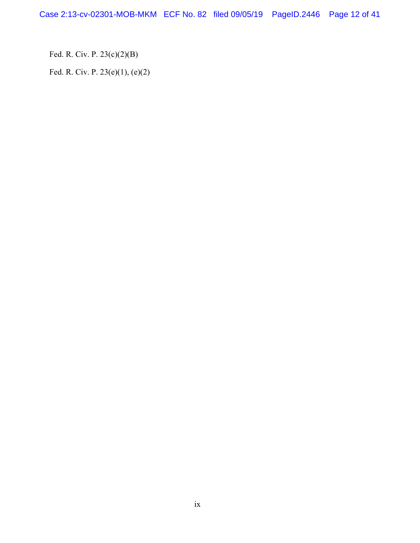Fed. R. Civ. P. 23(c)(2)(B)

Fed. R. Civ. P. 23(e)(1), (e)(2)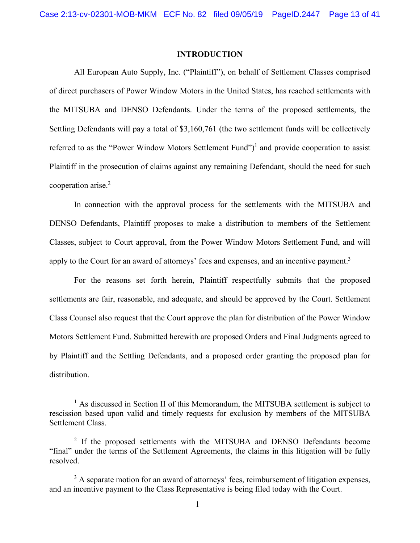### **INTRODUCTION**

All European Auto Supply, Inc. ("Plaintiff"), on behalf of Settlement Classes comprised of direct purchasers of Power Window Motors in the United States, has reached settlements with the MITSUBA and DENSO Defendants. Under the terms of the proposed settlements, the Settling Defendants will pay a total of \$3,160,761 (the two settlement funds will be collectively referred to as the "Power Window Motors Settlement Fund")<sup>1</sup> and provide cooperation to assist Plaintiff in the prosecution of claims against any remaining Defendant, should the need for such cooperation arise.<sup>2</sup>

In connection with the approval process for the settlements with the MITSUBA and DENSO Defendants, Plaintiff proposes to make a distribution to members of the Settlement Classes, subject to Court approval, from the Power Window Motors Settlement Fund, and will apply to the Court for an award of attorneys' fees and expenses, and an incentive payment.<sup>3</sup>

For the reasons set forth herein, Plaintiff respectfully submits that the proposed settlements are fair, reasonable, and adequate, and should be approved by the Court. Settlement Class Counsel also request that the Court approve the plan for distribution of the Power Window Motors Settlement Fund. Submitted herewith are proposed Orders and Final Judgments agreed to by Plaintiff and the Settling Defendants, and a proposed order granting the proposed plan for distribution.

 $\begin{array}{c}\n\hline\n\hline\n\hline\n\hline\n\hline\n\end{array}$  $<sup>1</sup>$  As discussed in Section II of this Memorandum, the MITSUBA settlement is subject to</sup> rescission based upon valid and timely requests for exclusion by members of the MITSUBA Settlement Class.

<sup>&</sup>lt;sup>2</sup> If the proposed settlements with the MITSUBA and DENSO Defendants become "final" under the terms of the Settlement Agreements, the claims in this litigation will be fully resolved.

 $3$  A separate motion for an award of attorneys' fees, reimbursement of litigation expenses, and an incentive payment to the Class Representative is being filed today with the Court.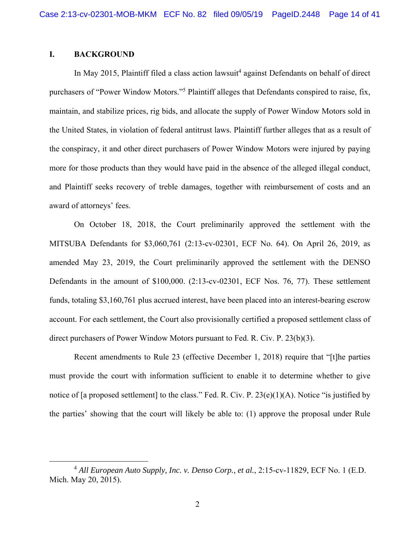## **I. BACKGROUND**

In May 2015, Plaintiff filed a class action lawsuit<sup>4</sup> against Defendants on behalf of direct purchasers of "Power Window Motors."<sup>5</sup> Plaintiff alleges that Defendants conspired to raise, fix, maintain, and stabilize prices, rig bids, and allocate the supply of Power Window Motors sold in the United States, in violation of federal antitrust laws. Plaintiff further alleges that as a result of the conspiracy, it and other direct purchasers of Power Window Motors were injured by paying more for those products than they would have paid in the absence of the alleged illegal conduct, and Plaintiff seeks recovery of treble damages, together with reimbursement of costs and an award of attorneys' fees.

On October 18, 2018, the Court preliminarily approved the settlement with the MITSUBA Defendants for \$3,060,761 (2:13-cv-02301, ECF No. 64). On April 26, 2019, as amended May 23, 2019, the Court preliminarily approved the settlement with the DENSO Defendants in the amount of \$100,000. (2:13-cv-02301, ECF Nos. 76, 77). These settlement funds, totaling \$3,160,761 plus accrued interest, have been placed into an interest-bearing escrow account. For each settlement, the Court also provisionally certified a proposed settlement class of direct purchasers of Power Window Motors pursuant to Fed. R. Civ. P. 23(b)(3).

Recent amendments to Rule 23 (effective December 1, 2018) require that "[t]he parties must provide the court with information sufficient to enable it to determine whether to give notice of [a proposed settlement] to the class." Fed. R. Civ. P. 23(e)(1)(A). Notice "is justified by the parties' showing that the court will likely be able to: (1) approve the proposal under Rule

 $\overline{4}$ <sup>4</sup> All European Auto Supply, Inc. v. Denso Corp., et al., 2:15-cv-11829, ECF No. 1 (E.D.) Mich. May 20, 2015).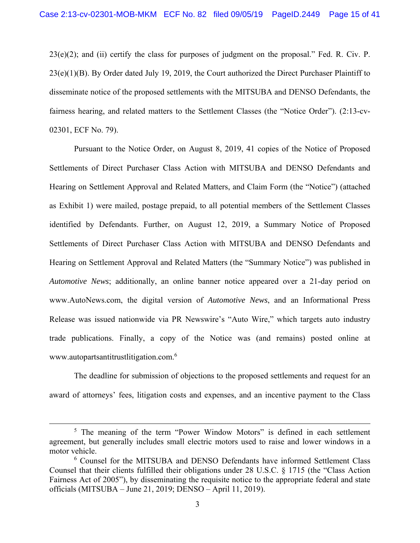23(e)(2); and (ii) certify the class for purposes of judgment on the proposal." Fed. R. Civ. P. 23(e)(1)(B). By Order dated July 19, 2019, the Court authorized the Direct Purchaser Plaintiff to disseminate notice of the proposed settlements with the MITSUBA and DENSO Defendants, the fairness hearing, and related matters to the Settlement Classes (the "Notice Order"). (2:13-cv-02301, ECF No. 79).

Pursuant to the Notice Order, on August 8, 2019, 41 copies of the Notice of Proposed Settlements of Direct Purchaser Class Action with MITSUBA and DENSO Defendants and Hearing on Settlement Approval and Related Matters, and Claim Form (the "Notice") (attached as Exhibit 1) were mailed, postage prepaid, to all potential members of the Settlement Classes identified by Defendants. Further, on August 12, 2019, a Summary Notice of Proposed Settlements of Direct Purchaser Class Action with MITSUBA and DENSO Defendants and Hearing on Settlement Approval and Related Matters (the "Summary Notice") was published in *Automotive News*; additionally, an online banner notice appeared over a 21-day period on www.AutoNews.com, the digital version of *Automotive News*, and an Informational Press Release was issued nationwide via PR Newswire's "Auto Wire," which targets auto industry trade publications. Finally, a copy of the Notice was (and remains) posted online at www.autopartsantitrustlitigation.com.<sup>6</sup>

The deadline for submission of objections to the proposed settlements and request for an award of attorneys' fees, litigation costs and expenses, and an incentive payment to the Class

 $rac{1}{5}$  $5$  The meaning of the term "Power Window Motors" is defined in each settlement agreement, but generally includes small electric motors used to raise and lower windows in a motor vehicle.

<sup>6</sup> Counsel for the MITSUBA and DENSO Defendants have informed Settlement Class Counsel that their clients fulfilled their obligations under 28 U.S.C. § 1715 (the "Class Action Fairness Act of 2005"), by disseminating the requisite notice to the appropriate federal and state officials (MITSUBA – June 21, 2019; DENSO – April 11, 2019).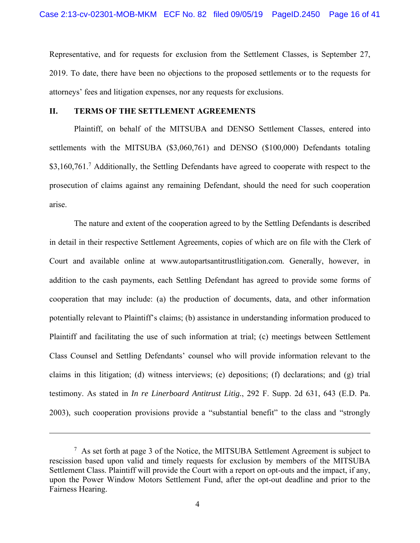Representative, and for requests for exclusion from the Settlement Classes, is September 27, 2019. To date, there have been no objections to the proposed settlements or to the requests for attorneys' fees and litigation expenses, nor any requests for exclusions.

## **II. TERMS OF THE SETTLEMENT AGREEMENTS**

Plaintiff, on behalf of the MITSUBA and DENSO Settlement Classes, entered into settlements with the MITSUBA (\$3,060,761) and DENSO (\$100,000) Defendants totaling \$3,160,761.<sup>7</sup> Additionally, the Settling Defendants have agreed to cooperate with respect to the prosecution of claims against any remaining Defendant, should the need for such cooperation arise.

The nature and extent of the cooperation agreed to by the Settling Defendants is described in detail in their respective Settlement Agreements, copies of which are on file with the Clerk of Court and available online at www.autopartsantitrustlitigation.com. Generally, however, in addition to the cash payments, each Settling Defendant has agreed to provide some forms of cooperation that may include: (a) the production of documents, data, and other information potentially relevant to Plaintiff's claims; (b) assistance in understanding information produced to Plaintiff and facilitating the use of such information at trial; (c) meetings between Settlement Class Counsel and Settling Defendants' counsel who will provide information relevant to the claims in this litigation; (d) witness interviews; (e) depositions; (f) declarations; and (g) trial testimony. As stated in *In re Linerboard Antitrust Litig.*, 292 F. Supp. 2d 631, 643 (E.D. Pa. 2003), such cooperation provisions provide a "substantial benefit" to the class and "strongly

 $\overline{a}$ 

 $7$  As set forth at page 3 of the Notice, the MITSUBA Settlement Agreement is subject to rescission based upon valid and timely requests for exclusion by members of the MITSUBA Settlement Class. Plaintiff will provide the Court with a report on opt-outs and the impact, if any, upon the Power Window Motors Settlement Fund, after the opt-out deadline and prior to the Fairness Hearing.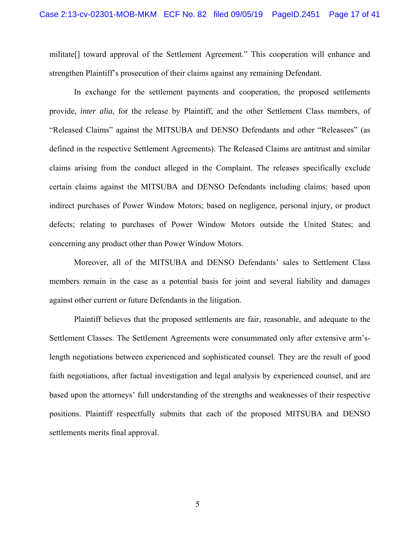militate[] toward approval of the Settlement Agreement." This cooperation will enhance and strengthen Plaintiff's prosecution of their claims against any remaining Defendant.

In exchange for the settlement payments and cooperation, the proposed settlements provide, *inter alia*, for the release by Plaintiff, and the other Settlement Class members, of "Released Claims" against the MITSUBA and DENSO Defendants and other "Releasees" (as defined in the respective Settlement Agreements). The Released Claims are antitrust and similar claims arising from the conduct alleged in the Complaint. The releases specifically exclude certain claims against the MITSUBA and DENSO Defendants including claims: based upon indirect purchases of Power Window Motors; based on negligence, personal injury, or product defects; relating to purchases of Power Window Motors outside the United States; and concerning any product other than Power Window Motors.

Moreover, all of the MITSUBA and DENSO Defendants' sales to Settlement Class members remain in the case as a potential basis for joint and several liability and damages against other current or future Defendants in the litigation.

Plaintiff believes that the proposed settlements are fair, reasonable, and adequate to the Settlement Classes. The Settlement Agreements were consummated only after extensive arm'slength negotiations between experienced and sophisticated counsel. They are the result of good faith negotiations, after factual investigation and legal analysis by experienced counsel, and are based upon the attorneys' full understanding of the strengths and weaknesses of their respective positions. Plaintiff respectfully submits that each of the proposed MITSUBA and DENSO settlements merits final approval.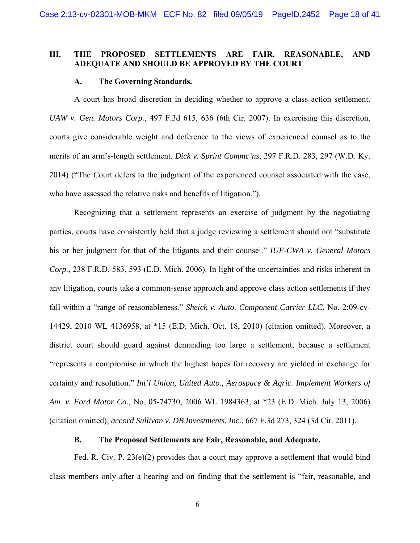#### **III. THE PROPOSED SETTLEMENTS ARE FAIR, REASONABLE, AND ADEQUATE AND SHOULD BE APPROVED BY THE COURT**

#### **A. The Governing Standards.**

A court has broad discretion in deciding whether to approve a class action settlement. *UAW v. Gen. Motors Corp.*, 497 F.3d 615, 636 (6th Cir. 2007). In exercising this discretion, courts give considerable weight and deference to the views of experienced counsel as to the merits of an arm's-length settlement. *Dick v. Sprint Commc'ns*, 297 F.R.D. 283, 297 (W.D. Ky. 2014) ("The Court defers to the judgment of the experienced counsel associated with the case, who have assessed the relative risks and benefits of litigation.").

Recognizing that a settlement represents an exercise of judgment by the negotiating parties, courts have consistently held that a judge reviewing a settlement should not "substitute his or her judgment for that of the litigants and their counsel." *IUE-CWA v. General Motors Corp.*, 238 F.R.D. 583, 593 (E.D. Mich. 2006). In light of the uncertainties and risks inherent in any litigation, courts take a common-sense approach and approve class action settlements if they fall within a "range of reasonableness." *Sheick v. Auto. Component Carrier LLC*, No. 2:09-cv-14429, 2010 WL 4136958, at \*15 (E.D. Mich. Oct. 18, 2010) (citation omitted). Moreover, a district court should guard against demanding too large a settlement, because a settlement "represents a compromise in which the highest hopes for recovery are yielded in exchange for certainty and resolution." *Int'l Union, United Auto., Aerospace & Agric. Implement Workers of Am. v. Ford Motor Co.*, No. 05-74730, 2006 WL 1984363, at \*23 (E.D. Mich. July 13, 2006) (citation omitted); *accord Sullivan v. DB Investments, Inc.*, 667 F.3d 273, 324 (3d Cir. 2011).

#### **B. The Proposed Settlements are Fair, Reasonable, and Adequate.**

Fed. R. Civ. P. 23(e)(2) provides that a court may approve a settlement that would bind class members only after a hearing and on finding that the settlement is "fair, reasonable, and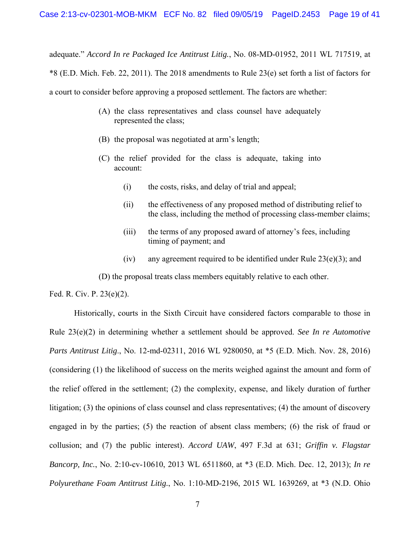adequate." *Accord In re Packaged Ice Antitrust Litig.*, No. 08-MD-01952, 2011 WL 717519, at \*8 (E.D. Mich. Feb. 22, 2011). The 2018 amendments to Rule 23(e) set forth a list of factors for a court to consider before approving a proposed settlement. The factors are whether:

- (A) the class representatives and class counsel have adequately represented the class;
- (B) the proposal was negotiated at arm's length;
- (C) the relief provided for the class is adequate, taking into account:
	- (i) the costs, risks, and delay of trial and appeal;
	- (ii) the effectiveness of any proposed method of distributing relief to the class, including the method of processing class-member claims;
	- (iii) the terms of any proposed award of attorney's fees, including timing of payment; and
	- (iv) any agreement required to be identified under Rule  $23(e)(3)$ ; and

(D) the proposal treats class members equitably relative to each other.

Fed. R. Civ. P. 23(e)(2).

Historically, courts in the Sixth Circuit have considered factors comparable to those in Rule 23(e)(2) in determining whether a settlement should be approved. *See In re Automotive Parts Antitrust Litig*., No. 12-md-02311, 2016 WL 9280050, at \*5 (E.D. Mich. Nov. 28, 2016) (considering (1) the likelihood of success on the merits weighed against the amount and form of the relief offered in the settlement; (2) the complexity, expense, and likely duration of further litigation; (3) the opinions of class counsel and class representatives; (4) the amount of discovery engaged in by the parties; (5) the reaction of absent class members; (6) the risk of fraud or collusion; and (7) the public interest). *Accord UAW*, 497 F.3d at 631; *Griffin v. Flagstar Bancorp, Inc.*, No. 2:10-cv-10610, 2013 WL 6511860, at \*3 (E.D. Mich. Dec. 12, 2013); *In re Polyurethane Foam Antitrust Litig.*, No. 1:10-MD-2196, 2015 WL 1639269, at \*3 (N.D. Ohio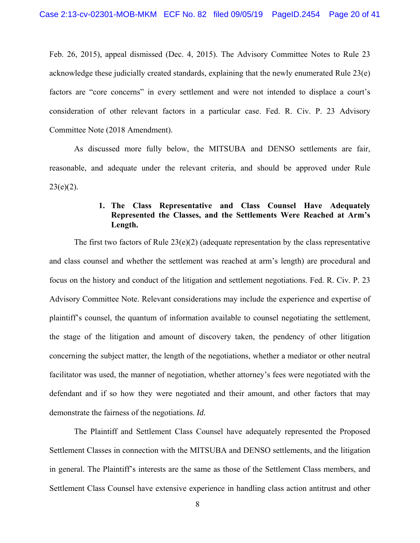Feb. 26, 2015), appeal dismissed (Dec. 4, 2015). The Advisory Committee Notes to Rule 23 acknowledge these judicially created standards, explaining that the newly enumerated Rule 23(e) factors are "core concerns" in every settlement and were not intended to displace a court's consideration of other relevant factors in a particular case. Fed. R. Civ. P. 23 Advisory Committee Note (2018 Amendment).

As discussed more fully below, the MITSUBA and DENSO settlements are fair, reasonable, and adequate under the relevant criteria, and should be approved under Rule  $23(e)(2)$ .

# **1. The Class Representative and Class Counsel Have Adequately Represented the Classes, and the Settlements Were Reached at Arm's Length.**

The first two factors of Rule  $23(e)(2)$  (adequate representation by the class representative and class counsel and whether the settlement was reached at arm's length) are procedural and focus on the history and conduct of the litigation and settlement negotiations. Fed. R. Civ. P. 23 Advisory Committee Note. Relevant considerations may include the experience and expertise of plaintiff's counsel, the quantum of information available to counsel negotiating the settlement, the stage of the litigation and amount of discovery taken, the pendency of other litigation concerning the subject matter, the length of the negotiations, whether a mediator or other neutral facilitator was used, the manner of negotiation, whether attorney's fees were negotiated with the defendant and if so how they were negotiated and their amount, and other factors that may demonstrate the fairness of the negotiations. *Id.*

The Plaintiff and Settlement Class Counsel have adequately represented the Proposed Settlement Classes in connection with the MITSUBA and DENSO settlements, and the litigation in general. The Plaintiff's interests are the same as those of the Settlement Class members, and Settlement Class Counsel have extensive experience in handling class action antitrust and other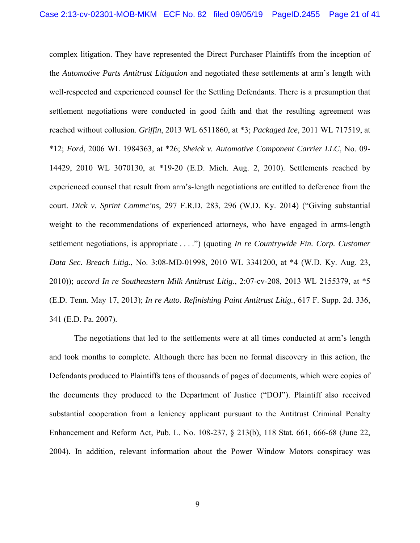complex litigation. They have represented the Direct Purchaser Plaintiffs from the inception of the *Automotive Parts Antitrust Litigation* and negotiated these settlements at arm's length with well-respected and experienced counsel for the Settling Defendants. There is a presumption that settlement negotiations were conducted in good faith and that the resulting agreement was reached without collusion. *Griffin*, 2013 WL 6511860, at \*3; *Packaged Ice*, 2011 WL 717519, at \*12; *Ford*, 2006 WL 1984363, at \*26; *Sheick v. Automotive Component Carrier LLC*, No. 09- 14429, 2010 WL 3070130, at \*19-20 (E.D. Mich. Aug. 2, 2010). Settlements reached by experienced counsel that result from arm's-length negotiations are entitled to deference from the court. *Dick v. Sprint Commc'ns*, 297 F.R.D. 283, 296 (W.D. Ky. 2014) ("Giving substantial weight to the recommendations of experienced attorneys, who have engaged in arms-length settlement negotiations, is appropriate . . . .") (quoting *In re Countrywide Fin. Corp. Customer Data Sec. Breach Litig.*, No. 3:08-MD-01998, 2010 WL 3341200, at \*4 (W.D. Ky. Aug. 23, 2010)); *accord In re Southeastern Milk Antitrust Litig.*, 2:07-cv-208, 2013 WL 2155379, at \*5 (E.D. Tenn. May 17, 2013); *In re Auto. Refinishing Paint Antitrust Litig.*, 617 F. Supp. 2d. 336, 341 (E.D. Pa. 2007).

The negotiations that led to the settlements were at all times conducted at arm's length and took months to complete. Although there has been no formal discovery in this action, the Defendants produced to Plaintiffs tens of thousands of pages of documents, which were copies of the documents they produced to the Department of Justice ("DOJ"). Plaintiff also received substantial cooperation from a leniency applicant pursuant to the Antitrust Criminal Penalty Enhancement and Reform Act, Pub. L. No. 108-237, § 213(b), 118 Stat. 661, 666-68 (June 22, 2004). In addition, relevant information about the Power Window Motors conspiracy was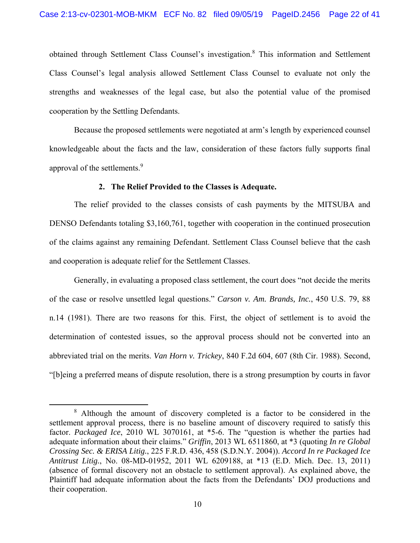obtained through Settlement Class Counsel's investigation.<sup>8</sup> This information and Settlement Class Counsel's legal analysis allowed Settlement Class Counsel to evaluate not only the strengths and weaknesses of the legal case, but also the potential value of the promised cooperation by the Settling Defendants.

Because the proposed settlements were negotiated at arm's length by experienced counsel knowledgeable about the facts and the law, consideration of these factors fully supports final approval of the settlements.<sup>9</sup>

#### **2. The Relief Provided to the Classes is Adequate.**

The relief provided to the classes consists of cash payments by the MITSUBA and DENSO Defendants totaling \$3,160,761, together with cooperation in the continued prosecution of the claims against any remaining Defendant. Settlement Class Counsel believe that the cash and cooperation is adequate relief for the Settlement Classes.

Generally, in evaluating a proposed class settlement, the court does "not decide the merits of the case or resolve unsettled legal questions." *Carson v. Am. Brands, Inc.*, 450 U.S. 79, 88 n.14 (1981). There are two reasons for this. First, the object of settlement is to avoid the determination of contested issues, so the approval process should not be converted into an abbreviated trial on the merits. *Van Horn v. Trickey*, 840 F.2d 604, 607 (8th Cir. 1988). Second, "[b]eing a preferred means of dispute resolution, there is a strong presumption by courts in favor

 <sup>8</sup> Although the amount of discovery completed is a factor to be considered in the settlement approval process, there is no baseline amount of discovery required to satisfy this factor. *Packaged Ice*, 2010 WL 3070161, at \*5-6. The "question is whether the parties had adequate information about their claims." *Griffin*, 2013 WL 6511860, at \*3 (quoting *In re Global Crossing Sec. & ERISA Litig.*, 225 F.R.D. 436, 458 (S.D.N.Y. 2004)). *Accord In re Packaged Ice Antitrust Litig.*, No. 08-MD-01952, 2011 WL 6209188, at \*13 (E.D. Mich. Dec. 13, 2011) (absence of formal discovery not an obstacle to settlement approval). As explained above, the Plaintiff had adequate information about the facts from the Defendants' DOJ productions and their cooperation.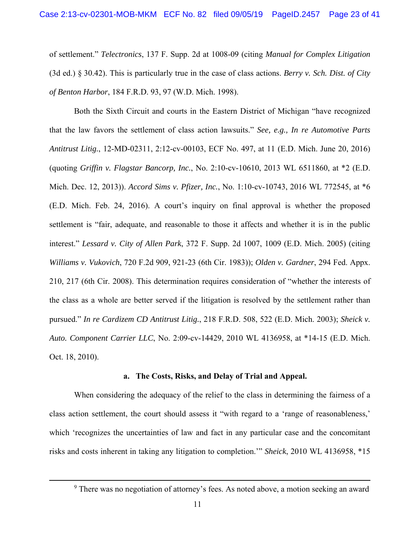of settlement." *Telectronics*, 137 F. Supp. 2d at 1008-09 (citing *Manual for Complex Litigation*  (3d ed.) § 30.42). This is particularly true in the case of class actions. *Berry v. Sch. Dist. of City of Benton Harbor*, 184 F.R.D. 93, 97 (W.D. Mich. 1998).

Both the Sixth Circuit and courts in the Eastern District of Michigan "have recognized that the law favors the settlement of class action lawsuits." *See, e.g., In re Automotive Parts Antitrust Litig.*, 12-MD-02311, 2:12-cv-00103, ECF No. 497, at 11 (E.D. Mich. June 20, 2016) (quoting *Griffin v. Flagstar Bancorp, Inc.*, No. 2:10-cv-10610, 2013 WL 6511860, at \*2 (E.D. Mich. Dec. 12, 2013)). *Accord Sims v. Pfizer, Inc.*, No. 1:10-cv-10743, 2016 WL 772545, at \*6 (E.D. Mich. Feb. 24, 2016). A court's inquiry on final approval is whether the proposed settlement is "fair, adequate, and reasonable to those it affects and whether it is in the public interest." *Lessard v. City of Allen Park*, 372 F. Supp. 2d 1007, 1009 (E.D. Mich. 2005) (citing *Williams v. Vukovich*, 720 F.2d 909, 921-23 (6th Cir. 1983)); *Olden v. Gardner*, 294 Fed. Appx. 210, 217 (6th Cir. 2008). This determination requires consideration of "whether the interests of the class as a whole are better served if the litigation is resolved by the settlement rather than pursued." *In re Cardizem CD Antitrust Litig.*, 218 F.R.D. 508, 522 (E.D. Mich. 2003); *Sheick v. Auto. Component Carrier LLC*, No. 2:09-cv-14429, 2010 WL 4136958, at \*14-15 (E.D. Mich. Oct. 18, 2010).

#### **a. The Costs, Risks, and Delay of Trial and Appeal.**

When considering the adequacy of the relief to the class in determining the fairness of a class action settlement, the court should assess it "with regard to a 'range of reasonableness,' which 'recognizes the uncertainties of law and fact in any particular case and the concomitant risks and costs inherent in taking any litigation to completion.'" *Sheick*, 2010 WL 4136958, \*15

 <sup>9</sup>  $9$  There was no negotiation of attorney's fees. As noted above, a motion seeking an award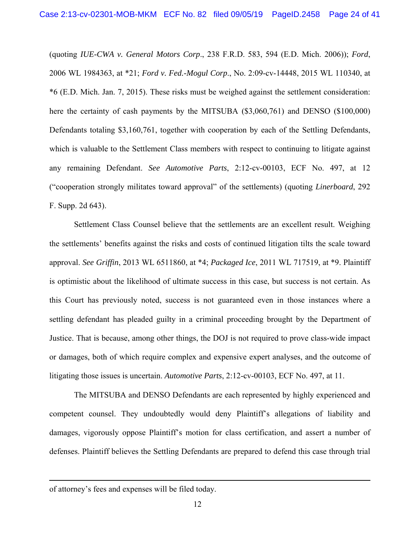(quoting *IUE-CWA v. General Motors Corp*., 238 F.R.D. 583, 594 (E.D. Mich. 2006)); *Ford*, 2006 WL 1984363, at \*21; *Ford v. Fed.-Mogul Corp*., No. 2:09-cv-14448, 2015 WL 110340, at \*6 (E.D. Mich. Jan. 7, 2015). These risks must be weighed against the settlement consideration: here the certainty of cash payments by the MITSUBA (\$3,060,761) and DENSO (\$100,000) Defendants totaling \$3,160,761, together with cooperation by each of the Settling Defendants, which is valuable to the Settlement Class members with respect to continuing to litigate against any remaining Defendant. *See Automotive Parts*, 2:12-cv-00103, ECF No. 497, at 12 ("cooperation strongly militates toward approval" of the settlements) (quoting *Linerboard*, 292 F. Supp. 2d 643).

Settlement Class Counsel believe that the settlements are an excellent result. Weighing the settlements' benefits against the risks and costs of continued litigation tilts the scale toward approval. *See Griffin*, 2013 WL 6511860, at \*4; *Packaged Ice*, 2011 WL 717519, at \*9. Plaintiff is optimistic about the likelihood of ultimate success in this case, but success is not certain. As this Court has previously noted, success is not guaranteed even in those instances where a settling defendant has pleaded guilty in a criminal proceeding brought by the Department of Justice. That is because, among other things, the DOJ is not required to prove class-wide impact or damages, both of which require complex and expensive expert analyses, and the outcome of litigating those issues is uncertain. *Automotive Parts*, 2:12-cv-00103, ECF No. 497, at 11.

The MITSUBA and DENSO Defendants are each represented by highly experienced and competent counsel. They undoubtedly would deny Plaintiff's allegations of liability and damages, vigorously oppose Plaintiff's motion for class certification, and assert a number of defenses. Plaintiff believes the Settling Defendants are prepared to defend this case through trial

 $\overline{a}$ 

of attorney's fees and expenses will be filed today.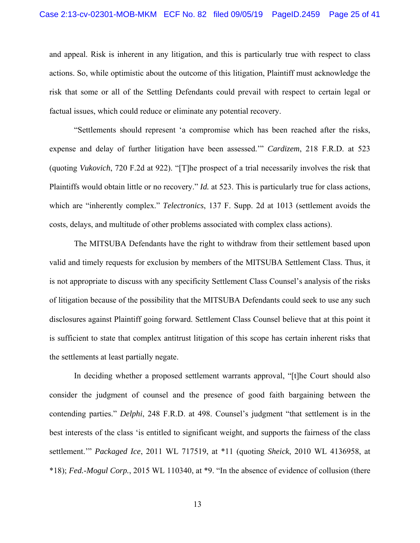and appeal. Risk is inherent in any litigation, and this is particularly true with respect to class actions. So, while optimistic about the outcome of this litigation, Plaintiff must acknowledge the risk that some or all of the Settling Defendants could prevail with respect to certain legal or factual issues, which could reduce or eliminate any potential recovery.

"Settlements should represent 'a compromise which has been reached after the risks, expense and delay of further litigation have been assessed.'" *Cardizem*, 218 F.R.D. at 523 (quoting *Vukovich*, 720 F.2d at 922). "[T]he prospect of a trial necessarily involves the risk that Plaintiffs would obtain little or no recovery." *Id.* at 523. This is particularly true for class actions, which are "inherently complex." *Telectronics*, 137 F. Supp. 2d at 1013 (settlement avoids the costs, delays, and multitude of other problems associated with complex class actions).

The MITSUBA Defendants have the right to withdraw from their settlement based upon valid and timely requests for exclusion by members of the MITSUBA Settlement Class. Thus, it is not appropriate to discuss with any specificity Settlement Class Counsel's analysis of the risks of litigation because of the possibility that the MITSUBA Defendants could seek to use any such disclosures against Plaintiff going forward. Settlement Class Counsel believe that at this point it is sufficient to state that complex antitrust litigation of this scope has certain inherent risks that the settlements at least partially negate.

In deciding whether a proposed settlement warrants approval, "[t]he Court should also consider the judgment of counsel and the presence of good faith bargaining between the contending parties." *Delphi*, 248 F.R.D. at 498. Counsel's judgment "that settlement is in the best interests of the class 'is entitled to significant weight, and supports the fairness of the class settlement.'" *Packaged Ice*, 2011 WL 717519, at \*11 (quoting *Sheick*, 2010 WL 4136958, at \*18); *Fed.-Mogul Corp.*, 2015 WL 110340, at \*9. "In the absence of evidence of collusion (there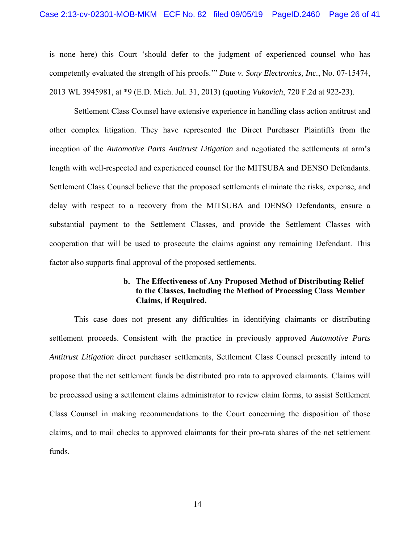is none here) this Court 'should defer to the judgment of experienced counsel who has competently evaluated the strength of his proofs.'" *Date v. Sony Electronics, Inc.*, No. 07-15474, 2013 WL 3945981, at \*9 (E.D. Mich. Jul. 31, 2013) (quoting *Vukovich*, 720 F.2d at 922-23).

Settlement Class Counsel have extensive experience in handling class action antitrust and other complex litigation. They have represented the Direct Purchaser Plaintiffs from the inception of the *Automotive Parts Antitrust Litigation* and negotiated the settlements at arm's length with well-respected and experienced counsel for the MITSUBA and DENSO Defendants. Settlement Class Counsel believe that the proposed settlements eliminate the risks, expense, and delay with respect to a recovery from the MITSUBA and DENSO Defendants, ensure a substantial payment to the Settlement Classes, and provide the Settlement Classes with cooperation that will be used to prosecute the claims against any remaining Defendant. This factor also supports final approval of the proposed settlements.

## **b. The Effectiveness of Any Proposed Method of Distributing Relief to the Classes, Including the Method of Processing Class Member Claims, if Required.**

This case does not present any difficulties in identifying claimants or distributing settlement proceeds. Consistent with the practice in previously approved *Automotive Parts Antitrust Litigation* direct purchaser settlements, Settlement Class Counsel presently intend to propose that the net settlement funds be distributed pro rata to approved claimants. Claims will be processed using a settlement claims administrator to review claim forms, to assist Settlement Class Counsel in making recommendations to the Court concerning the disposition of those claims, and to mail checks to approved claimants for their pro-rata shares of the net settlement funds.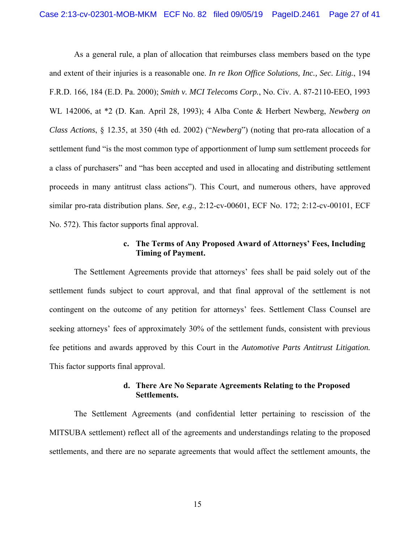As a general rule, a plan of allocation that reimburses class members based on the type and extent of their injuries is a reasonable one. *In re Ikon Office Solutions, Inc., Sec. Litig.*, 194 F.R.D. 166, 184 (E.D. Pa. 2000); *Smith v. MCI Telecoms Corp.*, No. Civ. A. 87-2110-EEO, 1993 WL 142006, at \*2 (D. Kan. April 28, 1993); 4 Alba Conte & Herbert Newberg, *Newberg on Class Actions*, § 12.35, at 350 (4th ed. 2002) ("*Newberg*") (noting that pro-rata allocation of a settlement fund "is the most common type of apportionment of lump sum settlement proceeds for a class of purchasers" and "has been accepted and used in allocating and distributing settlement proceeds in many antitrust class actions"). This Court, and numerous others, have approved similar pro-rata distribution plans. *See, e.g.,* 2:12-cv-00601, ECF No. 172; 2:12-cv-00101, ECF No. 572). This factor supports final approval.

### **c. The Terms of Any Proposed Award of Attorneys' Fees, Including Timing of Payment.**

The Settlement Agreements provide that attorneys' fees shall be paid solely out of the settlement funds subject to court approval, and that final approval of the settlement is not contingent on the outcome of any petition for attorneys' fees. Settlement Class Counsel are seeking attorneys' fees of approximately 30% of the settlement funds, consistent with previous fee petitions and awards approved by this Court in the *Automotive Parts Antitrust Litigation.*  This factor supports final approval.

## **d. There Are No Separate Agreements Relating to the Proposed Settlements.**

The Settlement Agreements (and confidential letter pertaining to rescission of the MITSUBA settlement) reflect all of the agreements and understandings relating to the proposed settlements, and there are no separate agreements that would affect the settlement amounts, the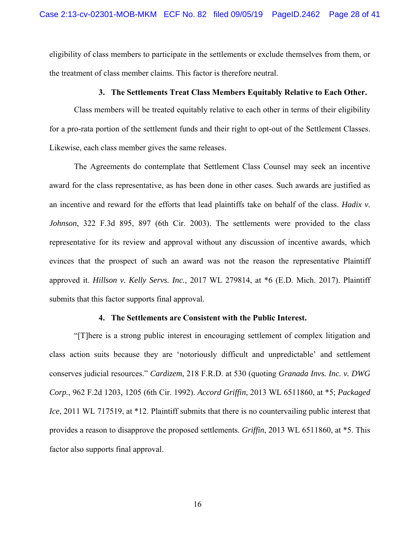eligibility of class members to participate in the settlements or exclude themselves from them, or the treatment of class member claims. This factor is therefore neutral.

#### **3. The Settlements Treat Class Members Equitably Relative to Each Other.**

Class members will be treated equitably relative to each other in terms of their eligibility for a pro-rata portion of the settlement funds and their right to opt-out of the Settlement Classes. Likewise, each class member gives the same releases.

The Agreements do contemplate that Settlement Class Counsel may seek an incentive award for the class representative, as has been done in other cases. Such awards are justified as an incentive and reward for the efforts that lead plaintiffs take on behalf of the class. *Hadix v. Johnson*, 322 F.3d 895, 897 (6th Cir. 2003). The settlements were provided to the class representative for its review and approval without any discussion of incentive awards, which evinces that the prospect of such an award was not the reason the representative Plaintiff approved it. *Hillson v. Kelly Servs. Inc.*, 2017 WL 279814, at \*6 (E.D. Mich. 2017). Plaintiff submits that this factor supports final approval.

## **4. The Settlements are Consistent with the Public Interest.**

"[T]here is a strong public interest in encouraging settlement of complex litigation and class action suits because they are 'notoriously difficult and unpredictable' and settlement conserves judicial resources." *Cardizem*, 218 F.R.D. at 530 (quoting *Granada Invs. Inc. v. DWG Corp.*, 962 F.2d 1203, 1205 (6th Cir. 1992). *Accord Griffin*, 2013 WL 6511860, at \*5; *Packaged Ice*, 2011 WL 717519, at \*12. Plaintiff submits that there is no countervailing public interest that provides a reason to disapprove the proposed settlements. *Griffin*, 2013 WL 6511860, at \*5. This factor also supports final approval.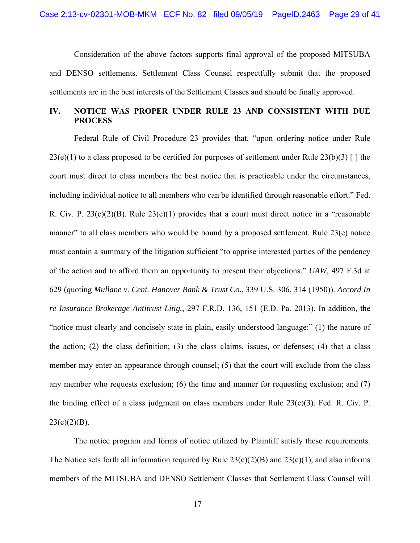Consideration of the above factors supports final approval of the proposed MITSUBA and DENSO settlements. Settlement Class Counsel respectfully submit that the proposed settlements are in the best interests of the Settlement Classes and should be finally approved.

# **IV. NOTICE WAS PROPER UNDER RULE 23 AND CONSISTENT WITH DUE PROCESS**

Federal Rule of Civil Procedure 23 provides that, "upon ordering notice under Rule  $23(e)(1)$  to a class proposed to be certified for purposes of settlement under Rule  $23(b)(3)$  [ ] the court must direct to class members the best notice that is practicable under the circumstances, including individual notice to all members who can be identified through reasonable effort." Fed. R. Civ. P. 23(c)(2)(B). Rule 23(e)(1) provides that a court must direct notice in a "reasonable manner" to all class members who would be bound by a proposed settlement. Rule 23(e) notice must contain a summary of the litigation sufficient "to apprise interested parties of the pendency of the action and to afford them an opportunity to present their objections." *UAW*, 497 F.3d at 629 (quoting *Mullane v. Cent. Hanover Bank & Trust Co.*, 339 U.S. 306, 314 (1950)). *Accord In re Insurance Brokerage Antitrust Litig.*, 297 F.R.D. 136, 151 (E.D. Pa. 2013). In addition, the "notice must clearly and concisely state in plain, easily understood language:" (1) the nature of the action; (2) the class definition; (3) the class claims, issues, or defenses; (4) that a class member may enter an appearance through counsel; (5) that the court will exclude from the class any member who requests exclusion; (6) the time and manner for requesting exclusion; and (7) the binding effect of a class judgment on class members under Rule 23(c)(3). Fed. R. Civ. P.  $23(c)(2)(B)$ .

The notice program and forms of notice utilized by Plaintiff satisfy these requirements. The Notice sets forth all information required by Rule  $23(c)(2)(B)$  and  $23(e)(1)$ , and also informs members of the MITSUBA and DENSO Settlement Classes that Settlement Class Counsel will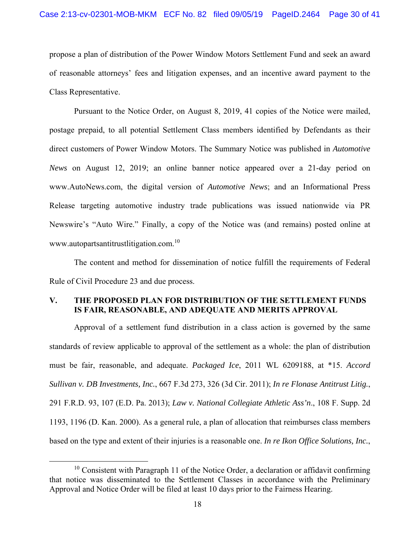propose a plan of distribution of the Power Window Motors Settlement Fund and seek an award of reasonable attorneys' fees and litigation expenses, and an incentive award payment to the Class Representative.

Pursuant to the Notice Order, on August 8, 2019, 41 copies of the Notice were mailed, postage prepaid, to all potential Settlement Class members identified by Defendants as their direct customers of Power Window Motors. The Summary Notice was published in *Automotive News* on August 12, 2019; an online banner notice appeared over a 21-day period on www.AutoNews.com, the digital version of *Automotive News*; and an Informational Press Release targeting automotive industry trade publications was issued nationwide via PR Newswire's "Auto Wire." Finally, a copy of the Notice was (and remains) posted online at www.autopartsantitrustlitigation.com.<sup>10</sup>

The content and method for dissemination of notice fulfill the requirements of Federal Rule of Civil Procedure 23 and due process.

# **V. THE PROPOSED PLAN FOR DISTRIBUTION OF THE SETTLEMENT FUNDS IS FAIR, REASONABLE, AND ADEQUATE AND MERITS APPROVAL**

Approval of a settlement fund distribution in a class action is governed by the same standards of review applicable to approval of the settlement as a whole: the plan of distribution must be fair, reasonable, and adequate. *Packaged Ice*, 2011 WL 6209188, at \*15. *Accord Sullivan v. DB Investments, Inc.*, 667 F.3d 273, 326 (3d Cir. 2011); *In re Flonase Antitrust Litig.*, 291 F.R.D. 93, 107 (E.D. Pa. 2013); *Law v. National Collegiate Athletic Ass'n*., 108 F. Supp. 2d 1193, 1196 (D. Kan. 2000). As a general rule, a plan of allocation that reimburses class members based on the type and extent of their injuries is a reasonable one. *In re Ikon Office Solutions, Inc.*,

 $10$  Consistent with Paragraph 11 of the Notice Order, a declaration or affidavit confirming that notice was disseminated to the Settlement Classes in accordance with the Preliminary Approval and Notice Order will be filed at least 10 days prior to the Fairness Hearing.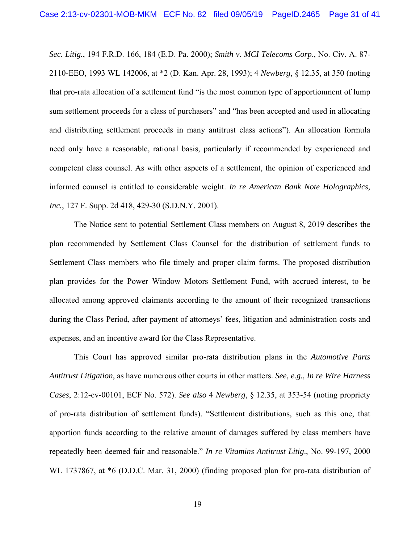*Sec. Litig.*, 194 F.R.D. 166, 184 (E.D. Pa. 2000); *Smith v. MCI Telecoms Corp*., No. Civ. A. 87- 2110-EEO, 1993 WL 142006, at \*2 (D. Kan. Apr. 28, 1993); 4 *Newberg*, § 12.35, at 350 (noting that pro-rata allocation of a settlement fund "is the most common type of apportionment of lump sum settlement proceeds for a class of purchasers" and "has been accepted and used in allocating and distributing settlement proceeds in many antitrust class actions"). An allocation formula need only have a reasonable, rational basis, particularly if recommended by experienced and competent class counsel. As with other aspects of a settlement, the opinion of experienced and informed counsel is entitled to considerable weight. *In re American Bank Note Holographics, Inc.*, 127 F. Supp. 2d 418, 429-30 (S.D.N.Y. 2001).

The Notice sent to potential Settlement Class members on August 8, 2019 describes the plan recommended by Settlement Class Counsel for the distribution of settlement funds to Settlement Class members who file timely and proper claim forms. The proposed distribution plan provides for the Power Window Motors Settlement Fund, with accrued interest, to be allocated among approved claimants according to the amount of their recognized transactions during the Class Period, after payment of attorneys' fees, litigation and administration costs and expenses, and an incentive award for the Class Representative.

This Court has approved similar pro-rata distribution plans in the *Automotive Parts Antitrust Litigation*, as have numerous other courts in other matters. *See, e.g., In re Wire Harness Cases*, 2:12-cv-00101, ECF No. 572). *See also* 4 *Newberg*, § 12.35, at 353-54 (noting propriety of pro-rata distribution of settlement funds). "Settlement distributions, such as this one, that apportion funds according to the relative amount of damages suffered by class members have repeatedly been deemed fair and reasonable." *In re Vitamins Antitrust Litig*., No. 99-197, 2000 WL 1737867, at  $*6$  (D.D.C. Mar. 31, 2000) (finding proposed plan for pro-rata distribution of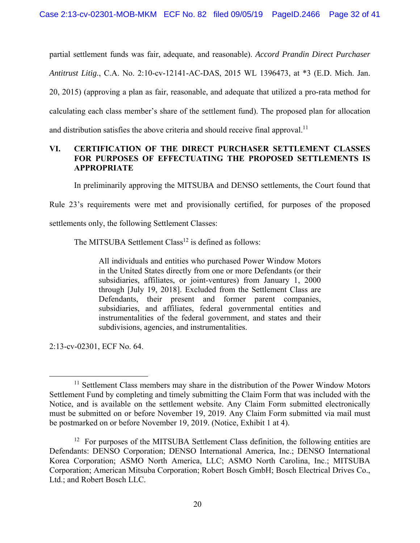partial settlement funds was fair, adequate, and reasonable). *Accord Prandin Direct Purchaser Antitrust Litig.*, C.A. No. 2:10-cv-12141-AC-DAS, 2015 WL 1396473, at \*3 (E.D. Mich. Jan. 20, 2015) (approving a plan as fair, reasonable, and adequate that utilized a pro-rata method for calculating each class member's share of the settlement fund). The proposed plan for allocation and distribution satisfies the above criteria and should receive final approval.<sup>11</sup>

# **VI. CERTIFICATION OF THE DIRECT PURCHASER SETTLEMENT CLASSES FOR PURPOSES OF EFFECTUATING THE PROPOSED SETTLEMENTS IS APPROPRIATE**

In preliminarily approving the MITSUBA and DENSO settlements, the Court found that

Rule 23's requirements were met and provisionally certified, for purposes of the proposed

settlements only, the following Settlement Classes:

The MITSUBA Settlement  $Class<sup>12</sup>$  is defined as follows:

All individuals and entities who purchased Power Window Motors in the United States directly from one or more Defendants (or their subsidiaries, affiliates, or joint-ventures) from January 1, 2000 through [July 19, 2018]. Excluded from the Settlement Class are Defendants, their present and former parent companies, subsidiaries, and affiliates, federal governmental entities and instrumentalities of the federal government, and states and their subdivisions, agencies, and instrumentalities.

2:13-cv-02301, ECF No. 64.

<sup>&</sup>lt;sup>11</sup> Settlement Class members may share in the distribution of the Power Window Motors Settlement Fund by completing and timely submitting the Claim Form that was included with the Notice, and is available on the settlement website. Any Claim Form submitted electronically must be submitted on or before November 19, 2019. Any Claim Form submitted via mail must be postmarked on or before November 19, 2019. (Notice, Exhibit 1 at 4).

<sup>&</sup>lt;sup>12</sup> For purposes of the MITSUBA Settlement Class definition, the following entities are Defendants: DENSO Corporation; DENSO International America, Inc.; DENSO International Korea Corporation; ASMO North America, LLC; ASMO North Carolina, Inc.; MITSUBA Corporation; American Mitsuba Corporation; Robert Bosch GmbH; Bosch Electrical Drives Co., Ltd.; and Robert Bosch LLC.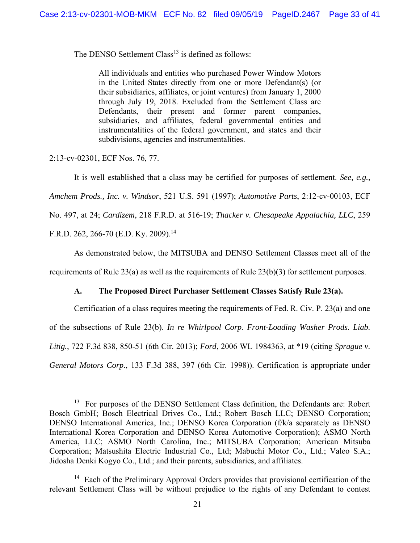The DENSO Settlement Class<sup>13</sup> is defined as follows:

All individuals and entities who purchased Power Window Motors in the United States directly from one or more Defendant(s) (or their subsidiaries, affiliates, or joint ventures) from January 1, 2000 through July 19, 2018. Excluded from the Settlement Class are Defendants, their present and former parent companies, subsidiaries, and affiliates, federal governmental entities and instrumentalities of the federal government, and states and their subdivisions, agencies and instrumentalities.

2:13-cv-02301, ECF Nos. 76, 77.

It is well established that a class may be certified for purposes of settlement. *See, e.g., Amchem Prods., Inc. v. Windsor*, 521 U.S. 591 (1997); *Automotive Parts*, 2:12-cv-00103, ECF No. 497, at 24; *Cardizem*, 218 F.R.D. at 516-19; *Thacker v. Chesapeake Appalachia, LLC*, 259 F.R.D. 262, 266-70 (E.D. Ky. 2009).<sup>14</sup>

As demonstrated below, the MITSUBA and DENSO Settlement Classes meet all of the

requirements of Rule 23(a) as well as the requirements of Rule  $23(b)(3)$  for settlement purposes.

### **A. The Proposed Direct Purchaser Settlement Classes Satisfy Rule 23(a).**

Certification of a class requires meeting the requirements of Fed. R. Civ. P. 23(a) and one of the subsections of Rule 23(b). *In re Whirlpool Corp. Front-Loading Washer Prods. Liab. Litig.*, 722 F.3d 838, 850-51 (6th Cir. 2013); *Ford*, 2006 WL 1984363, at \*19 (citing *Sprague v. General Motors Corp.*, 133 F.3d 388, 397 (6th Cir. 1998)). Certification is appropriate under

<sup>&</sup>lt;sup>13</sup> For purposes of the DENSO Settlement Class definition, the Defendants are: Robert Bosch GmbH; Bosch Electrical Drives Co., Ltd.; Robert Bosch LLC; DENSO Corporation; DENSO International America, Inc.; DENSO Korea Corporation (f/k/a separately as DENSO International Korea Corporation and DENSO Korea Automotive Corporation); ASMO North America, LLC; ASMO North Carolina, Inc.; MITSUBA Corporation; American Mitsuba Corporation; Matsushita Electric Industrial Co., Ltd; Mabuchi Motor Co., Ltd.; Valeo S.A.; Jidosha Denki Kogyo Co., Ltd.; and their parents, subsidiaries, and affiliates.

<sup>&</sup>lt;sup>14</sup> Each of the Preliminary Approval Orders provides that provisional certification of the relevant Settlement Class will be without prejudice to the rights of any Defendant to contest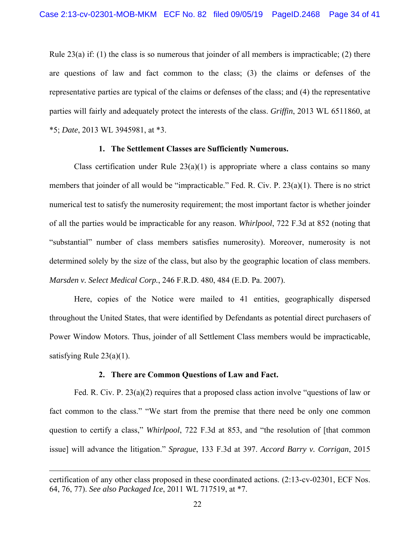Rule 23(a) if: (1) the class is so numerous that joinder of all members is impracticable; (2) there are questions of law and fact common to the class; (3) the claims or defenses of the representative parties are typical of the claims or defenses of the class; and (4) the representative parties will fairly and adequately protect the interests of the class. *Griffin*, 2013 WL 6511860, at \*5; *Date*, 2013 WL 3945981, at \*3.

## **1. The Settlement Classes are Sufficiently Numerous.**

Class certification under Rule  $23(a)(1)$  is appropriate where a class contains so many members that joinder of all would be "impracticable." Fed. R. Civ. P. 23(a)(1). There is no strict numerical test to satisfy the numerosity requirement; the most important factor is whether joinder of all the parties would be impracticable for any reason. *Whirlpool*, 722 F.3d at 852 (noting that "substantial" number of class members satisfies numerosity). Moreover, numerosity is not determined solely by the size of the class, but also by the geographic location of class members. *Marsden v. Select Medical Corp.*, 246 F.R.D. 480, 484 (E.D. Pa. 2007).

Here, copies of the Notice were mailed to 41 entities, geographically dispersed throughout the United States, that were identified by Defendants as potential direct purchasers of Power Window Motors. Thus, joinder of all Settlement Class members would be impracticable, satisfying Rule  $23(a)(1)$ .

#### **2. There are Common Questions of Law and Fact.**

Fed. R. Civ. P. 23(a)(2) requires that a proposed class action involve "questions of law or fact common to the class." "We start from the premise that there need be only one common question to certify a class," *Whirlpool*, 722 F.3d at 853, and "the resolution of [that common issue] will advance the litigation." *Sprague*, 133 F.3d at 397. *Accord Barry v. Corrigan*, 2015

 $\overline{a}$ 

certification of any other class proposed in these coordinated actions. (2:13-cv-02301, ECF Nos. 64, 76, 77). *See also Packaged Ice*, 2011 WL 717519, at \*7.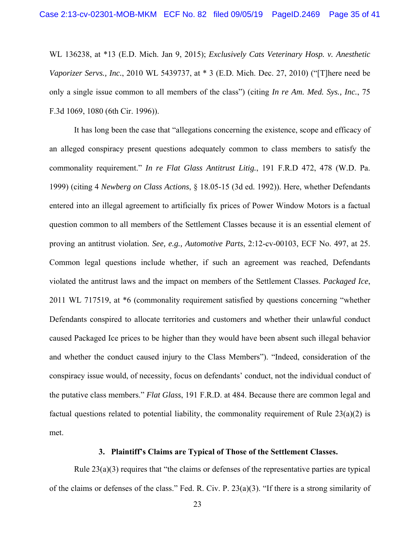WL 136238, at \*13 (E.D. Mich. Jan 9, 2015); *Exclusively Cats Veterinary Hosp. v. Anesthetic Vaporizer Servs., Inc.*, 2010 WL 5439737, at \* 3 (E.D. Mich. Dec. 27, 2010) ("[T]here need be only a single issue common to all members of the class") (citing *In re Am. Med. Sys., Inc.*, 75 F.3d 1069, 1080 (6th Cir. 1996)).

It has long been the case that "allegations concerning the existence, scope and efficacy of an alleged conspiracy present questions adequately common to class members to satisfy the commonality requirement." *In re Flat Glass Antitrust Litig.*, 191 F.R.D 472, 478 (W.D. Pa. 1999) (citing 4 *Newberg on Class Actions*, § 18.05-15 (3d ed. 1992)). Here, whether Defendants entered into an illegal agreement to artificially fix prices of Power Window Motors is a factual question common to all members of the Settlement Classes because it is an essential element of proving an antitrust violation. *See, e.g., Automotive Parts*, 2:12-cv-00103, ECF No. 497, at 25. Common legal questions include whether, if such an agreement was reached, Defendants violated the antitrust laws and the impact on members of the Settlement Classes. *Packaged Ice*, 2011 WL 717519, at \*6 (commonality requirement satisfied by questions concerning "whether Defendants conspired to allocate territories and customers and whether their unlawful conduct caused Packaged Ice prices to be higher than they would have been absent such illegal behavior and whether the conduct caused injury to the Class Members"). "Indeed, consideration of the conspiracy issue would, of necessity, focus on defendants' conduct, not the individual conduct of the putative class members." *Flat Glass*, 191 F.R.D. at 484. Because there are common legal and factual questions related to potential liability, the commonality requirement of Rule  $23(a)(2)$  is met.

#### **3. Plaintiff's Claims are Typical of Those of the Settlement Classes.**

Rule 23(a)(3) requires that "the claims or defenses of the representative parties are typical of the claims or defenses of the class." Fed. R. Civ. P. 23(a)(3). "If there is a strong similarity of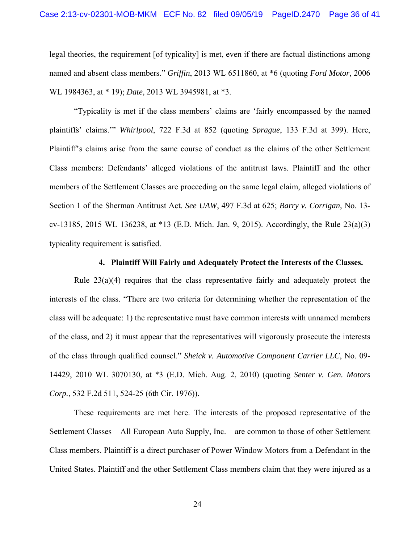legal theories, the requirement [of typicality] is met, even if there are factual distinctions among named and absent class members." *Griffin*, 2013 WL 6511860, at \*6 (quoting *Ford Motor*, 2006 WL 1984363, at \* 19); *Date*, 2013 WL 3945981, at \*3.

"Typicality is met if the class members' claims are 'fairly encompassed by the named plaintiffs' claims.'" *Whirlpool*, 722 F.3d at 852 (quoting *Sprague*, 133 F.3d at 399). Here, Plaintiff's claims arise from the same course of conduct as the claims of the other Settlement Class members: Defendants' alleged violations of the antitrust laws. Plaintiff and the other members of the Settlement Classes are proceeding on the same legal claim, alleged violations of Section 1 of the Sherman Antitrust Act. *See UAW*, 497 F.3d at 625; *Barry v. Corrigan*, No. 13 cv-13185, 2015 WL 136238, at \*13 (E.D. Mich. Jan. 9, 2015). Accordingly, the Rule 23(a)(3) typicality requirement is satisfied.

## **4. Plaintiff Will Fairly and Adequately Protect the Interests of the Classes.**

Rule 23(a)(4) requires that the class representative fairly and adequately protect the interests of the class. "There are two criteria for determining whether the representation of the class will be adequate: 1) the representative must have common interests with unnamed members of the class, and 2) it must appear that the representatives will vigorously prosecute the interests of the class through qualified counsel." *Sheick v. Automotive Component Carrier LLC*, No. 09- 14429, 2010 WL 3070130, at \*3 (E.D. Mich. Aug. 2, 2010) (quoting *Senter v. Gen. Motors Corp.*, 532 F.2d 511, 524-25 (6th Cir. 1976)).

These requirements are met here. The interests of the proposed representative of the Settlement Classes – All European Auto Supply, Inc. – are common to those of other Settlement Class members. Plaintiff is a direct purchaser of Power Window Motors from a Defendant in the United States. Plaintiff and the other Settlement Class members claim that they were injured as a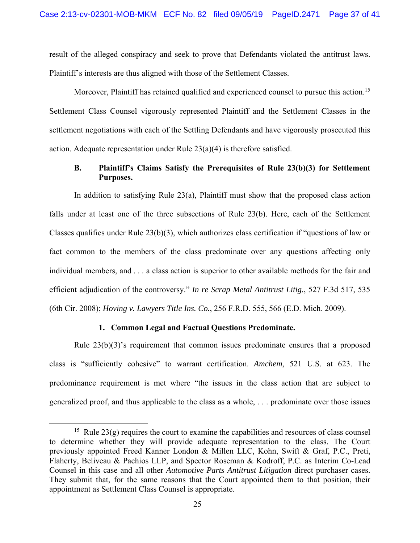result of the alleged conspiracy and seek to prove that Defendants violated the antitrust laws. Plaintiff's interests are thus aligned with those of the Settlement Classes.

Moreover, Plaintiff has retained qualified and experienced counsel to pursue this action.<sup>15</sup> Settlement Class Counsel vigorously represented Plaintiff and the Settlement Classes in the settlement negotiations with each of the Settling Defendants and have vigorously prosecuted this action. Adequate representation under Rule 23(a)(4) is therefore satisfied.

## **B. Plaintiff's Claims Satisfy the Prerequisites of Rule 23(b)(3) for Settlement Purposes.**

In addition to satisfying Rule 23(a), Plaintiff must show that the proposed class action falls under at least one of the three subsections of Rule 23(b). Here, each of the Settlement Classes qualifies under Rule 23(b)(3), which authorizes class certification if "questions of law or fact common to the members of the class predominate over any questions affecting only individual members, and . . . a class action is superior to other available methods for the fair and efficient adjudication of the controversy." *In re Scrap Metal Antitrust Litig.*, 527 F.3d 517, 535 (6th Cir. 2008); *Hoving v. Lawyers Title Ins. Co.*, 256 F.R.D. 555, 566 (E.D. Mich. 2009).

#### **1. Common Legal and Factual Questions Predominate.**

Rule 23(b)(3)'s requirement that common issues predominate ensures that a proposed class is "sufficiently cohesive" to warrant certification. *Amchem*, 521 U.S. at 623. The predominance requirement is met where "the issues in the class action that are subject to generalized proof, and thus applicable to the class as a whole, . . . predominate over those issues

<sup>&</sup>lt;sup>15</sup> Rule 23(g) requires the court to examine the capabilities and resources of class counsel to determine whether they will provide adequate representation to the class. The Court previously appointed Freed Kanner London & Millen LLC, Kohn, Swift & Graf, P.C., Preti, Flaherty, Beliveau & Pachios LLP, and Spector Roseman & Kodroff, P.C. as Interim Co-Lead Counsel in this case and all other *Automotive Parts Antitrust Litigation* direct purchaser cases. They submit that, for the same reasons that the Court appointed them to that position, their appointment as Settlement Class Counsel is appropriate.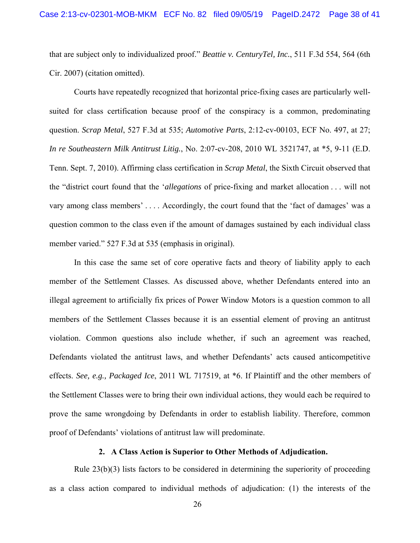that are subject only to individualized proof." *Beattie v. CenturyTel, Inc.*, 511 F.3d 554, 564 (6th Cir. 2007) (citation omitted).

Courts have repeatedly recognized that horizontal price-fixing cases are particularly wellsuited for class certification because proof of the conspiracy is a common, predominating question. *Scrap Metal*, 527 F.3d at 535; *Automotive Parts*, 2:12-cv-00103, ECF No. 497, at 27; *In re Southeastern Milk Antitrust Litig.*, No. 2:07-cv-208, 2010 WL 3521747, at \*5, 9-11 (E.D. Tenn. Sept. 7, 2010). Affirming class certification in *Scrap Metal*, the Sixth Circuit observed that the "district court found that the '*allegations* of price-fixing and market allocation . . . will not vary among class members' . . . . Accordingly, the court found that the 'fact of damages' was a question common to the class even if the amount of damages sustained by each individual class member varied." 527 F.3d at 535 (emphasis in original).

In this case the same set of core operative facts and theory of liability apply to each member of the Settlement Classes. As discussed above, whether Defendants entered into an illegal agreement to artificially fix prices of Power Window Motors is a question common to all members of the Settlement Classes because it is an essential element of proving an antitrust violation. Common questions also include whether, if such an agreement was reached, Defendants violated the antitrust laws, and whether Defendants' acts caused anticompetitive effects. *See, e.g., Packaged Ice*, 2011 WL 717519, at \*6. If Plaintiff and the other members of the Settlement Classes were to bring their own individual actions, they would each be required to prove the same wrongdoing by Defendants in order to establish liability. Therefore, common proof of Defendants' violations of antitrust law will predominate.

#### **2. A Class Action is Superior to Other Methods of Adjudication.**

Rule 23(b)(3) lists factors to be considered in determining the superiority of proceeding as a class action compared to individual methods of adjudication: (1) the interests of the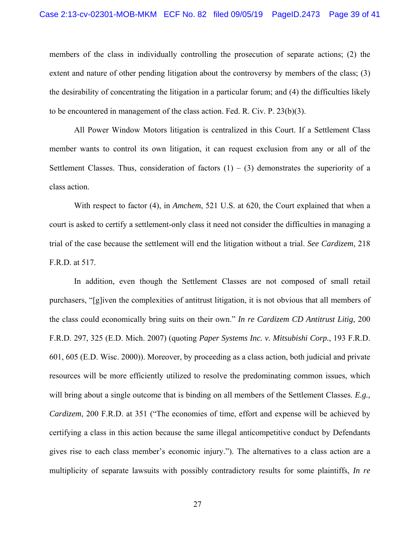members of the class in individually controlling the prosecution of separate actions; (2) the extent and nature of other pending litigation about the controversy by members of the class; (3) the desirability of concentrating the litigation in a particular forum; and (4) the difficulties likely to be encountered in management of the class action. Fed. R. Civ. P. 23(b)(3).

All Power Window Motors litigation is centralized in this Court. If a Settlement Class member wants to control its own litigation, it can request exclusion from any or all of the Settlement Classes. Thus, consideration of factors  $(1) - (3)$  demonstrates the superiority of a class action.

With respect to factor (4), in *Amchem*, 521 U.S. at 620, the Court explained that when a court is asked to certify a settlement-only class it need not consider the difficulties in managing a trial of the case because the settlement will end the litigation without a trial. *See Cardizem*, 218 F.R.D. at 517.

In addition, even though the Settlement Classes are not composed of small retail purchasers, "[g]iven the complexities of antitrust litigation, it is not obvious that all members of the class could economically bring suits on their own." *In re Cardizem CD Antitrust Litig*, 200 F.R.D. 297, 325 (E.D. Mich. 2007) (quoting *Paper Systems Inc. v. Mitsubishi Corp.*, 193 F.R.D. 601, 605 (E.D. Wisc. 2000)). Moreover, by proceeding as a class action, both judicial and private resources will be more efficiently utilized to resolve the predominating common issues, which will bring about a single outcome that is binding on all members of the Settlement Classes. *E.g., Cardizem*, 200 F.R.D. at 351 ("The economies of time, effort and expense will be achieved by certifying a class in this action because the same illegal anticompetitive conduct by Defendants gives rise to each class member's economic injury."). The alternatives to a class action are a multiplicity of separate lawsuits with possibly contradictory results for some plaintiffs, *In re*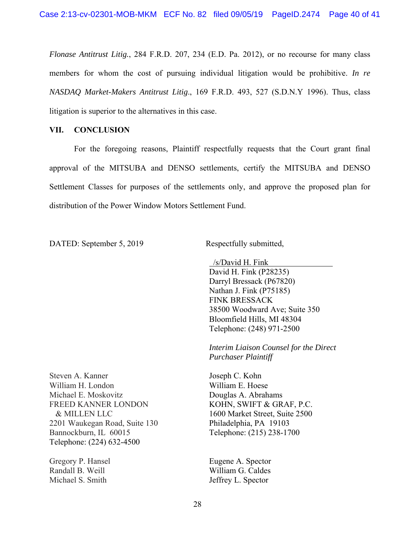*Flonase Antitrust Litig.*, 284 F.R.D. 207, 234 (E.D. Pa. 2012), or no recourse for many class members for whom the cost of pursuing individual litigation would be prohibitive. *In re NASDAQ Market-Makers Antitrust Litig*., 169 F.R.D. 493, 527 (S.D.N.Y 1996). Thus, class litigation is superior to the alternatives in this case.

## **VII. CONCLUSION**

For the foregoing reasons, Plaintiff respectfully requests that the Court grant final approval of the MITSUBA and DENSO settlements, certify the MITSUBA and DENSO Settlement Classes for purposes of the settlements only, and approve the proposed plan for distribution of the Power Window Motors Settlement Fund.

DATED: September 5, 2019 Respectfully submitted,

 /s/David H. Fink David H. Fink (P28235) Darryl Bressack (P67820) Nathan J. Fink (P75185) FINK BRESSACK 38500 Woodward Ave; Suite 350 Bloomfield Hills, MI 48304 Telephone: (248) 971-2500

*Interim Liaison Counsel for the Direct Purchaser Plaintiff* 

Joseph C. Kohn William E. Hoese Douglas A. Abrahams KOHN, SWIFT & GRAF, P.C. 1600 Market Street, Suite 2500 Philadelphia, PA 19103 Telephone: (215) 238-1700

Eugene A. Spector William G. Caldes Jeffrey L. Spector

Steven A. Kanner William H. London Michael E. Moskovitz FREED KANNER LONDON & MILLEN LLC 2201 Waukegan Road, Suite 130 Bannockburn, IL 60015 Telephone: (224) 632-4500

Gregory P. Hansel Randall B. Weill Michael S. Smith